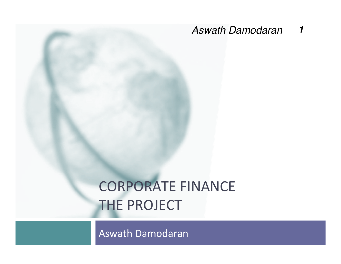*Aswath Damodaran 1*

# **CORPORATE FINANCE THE PROJECT**

Aswath Damodaran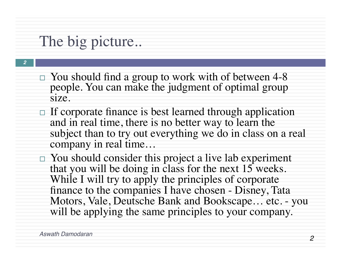## The big picture..

*2*

- $\Box$  You should find a group to work with of between 4-8 people. You can make the judgment of optimal group size.
- $\Box$  If corporate finance is best learned through application and in real time, there is no better way to learn the subject than to try out everything we do in class on a real company in real time…
	- $\Box$  You should consider this project a live lab experiment that you will be doing in class for the next  $15$  weeks. While I will try to apply the principles of corporate finance to the companies I have chosen - Disney, Tata Motors, Vale, Deutsche Bank and Bookscape… etc. - you will be applying the same principles to your company.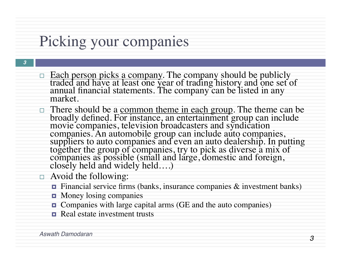## Picking your companies

- □ Each person picks a company. The company should be publicly traded and have at least one year of trading history and one set of annual financial statements. The company can be listed in any market.
- □ There should be a common theme in each group. The theme can be broadly defined. For instance, an entertainment group can include movie companies, television broadcasters and syndication companies. An automobile group can include auto companies, suppliers to auto companies and even an auto dealership. In putting together the group of companies, try to pick as diverse a mix of companies as possible (small and large, domestic and foreign, closely held and widely held….)
- $\Box$  Avoid the following:
	- ¤ Financial service firms (banks, insurance companies & investment banks)
	- $\blacksquare$  Money losing companies
	- ¤ Companies with large capital arms (GE and the auto companies)
	- **E** Real estate investment trusts

*3*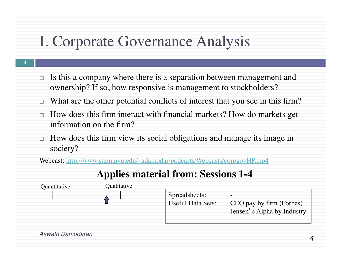### I. Corporate Governance Analysis

*4*

- $\Box$  Is this a company where there is a separation between management and ownership? If so, how responsive is management to stockholders?
- $\Box$  What are the other potential conflicts of interest that you see in this firm?
- $\Box$  How does this firm interact with financial markets? How do markets get information on the firm?
- $\Box$  How does this firm view its social obligations and manage its image in society?

Webcast: http://www.stern.nyu.edu/~adamodar/podcasts/Webcasts/corpgovHP.mp4

### **Applies material from: Sessions 1-4**



*4*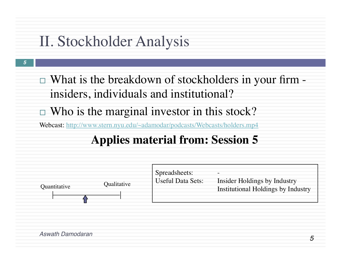# II. Stockholder Analysis

*5*

 $\Box$  What is the breakdown of stockholders in your firm insiders, individuals and institutional?

 $\Box$  Who is the marginal investor in this stock?

Webcast: http://www.stern.nyu.edu/~adamodar/podcasts/Webcasts/holders.mp4

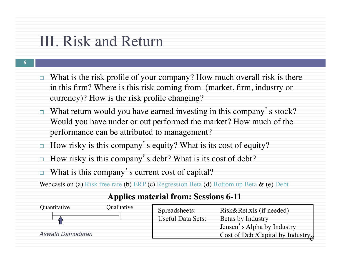### III. Risk and Return

*6*

- $\Box$  What is the risk profile of your company? How much overall risk is there in this firm? Where is this risk coming from (market, firm, industry or currency)? How is the risk profile changing?
- $\Box$  What return would you have earned investing in this company's stock? Would you have under or out performed the market? How much of the performance can be attributed to management?
- $\Box$  How risky is this company's equity? What is its cost of equity?
- $\Box$  How risky is this company's debt? What is its cost of debt?
- $\Box$  What is this company's current cost of capital?

Webcasts on (a) Risk free rate (b) ERP (c) Regression Beta (d) Bottom up Beta & (e) Debt

| Quantitative            | Qualitative | Spreadsheets:     | Risk&Ret.xls (if needed)         |  |
|-------------------------|-------------|-------------------|----------------------------------|--|
|                         |             | Useful Data Sets: | Betas by Industry                |  |
|                         |             |                   | Jensen's Alpha by Industry       |  |
| <b>Aswath Damodaran</b> |             |                   | Cost of Debt/Capital by Industry |  |
|                         |             |                   |                                  |  |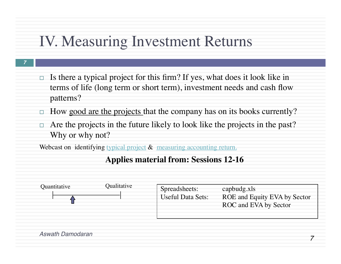### IV. Measuring Investment Returns

*7*

- $\Box$  Is there a typical project for this firm? If yes, what does it look like in terms of life (long term or short term), investment needs and cash flow patterns?
- $\Box$  How good are the projects that the company has on its books currently?
- Are the projects in the future likely to look like the projects in the past? Why or why not?

Webcast on identifying typical project & measuring accounting return.

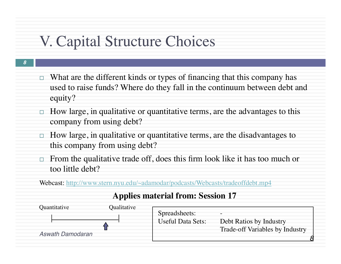### V. Capital Structure Choices

- *8*
- $\Box$  What are the different kinds or types of financing that this company has used to raise funds? Where do they fall in the continuum between debt and equity?
- $\Box$  How large, in qualitative or quantitative terms, are the advantages to this company from using debt?
- $\Box$  How large, in qualitative or quantitative terms, are the disadvantages to this company from using debt?
- $\Box$  From the qualitative trade off, does this firm look like it has too much or too little debt?

Webcast: http://www.stern.nyu.edu/~adamodar/podcasts/Webcasts/tradeoffdebt.mp4

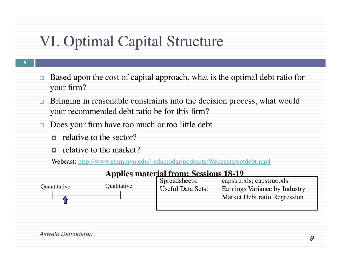# VI. Optimal Capital Structure

- *9*
- $\Box$  Based upon the cost of capital approach, what is the optimal debt ratio for your firm?
- $\Box$  Bringing in reasonable constraints into the decision process, what would your recommended debt ratio be for this firm?
- $\Box$  Does your firm have too much or too little debt
	- $\blacksquare$  relative to the sector?
	- $\Box$  relative to the market?

Webcast: http://www.stern.nyu.edu/~adamodar/podcasts/Webcasts/optdebt.mp4

#### **Applies material from: Sessions 18-19**

|              |             | Spreadsheets:            | capstru.xls; capstruo.xls            |  |
|--------------|-------------|--------------------------|--------------------------------------|--|
| Ouantitative | Qualitative | <b>Useful Data Sets:</b> | <b>Earnings Variance by Industry</b> |  |
|              |             |                          | Market Debt ratio Regression         |  |
|              |             |                          |                                      |  |
|              |             |                          |                                      |  |

*Aswath Damodaran*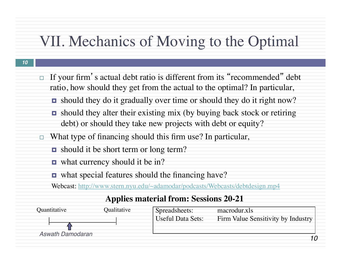### VII. Mechanics of Moving to the Optimal

#### *10*

- If your firm's actual debt ratio is different from its "recommended" debt ratio, how should they get from the actual to the optimal? In particular,
	- should they do it gradually over time or should they do it right now?
	- $\Box$  should they alter their existing mix (by buying back stock or retiring debt) or should they take new projects with debt or equity?
- $\Box$  What type of financing should this firm use? In particular,
	- **□** should it be short term or long term?
	- what currency should it be in?
	- what special features should the financing have?

Webcast: http://www.stern.nyu.edu/~adamodar/podcasts/Webcasts/debtdesign.mp4

| Quantitative     | Qualitative | Spreadsheets:            | macrodur.xls                       |  |
|------------------|-------------|--------------------------|------------------------------------|--|
|                  |             | <b>Useful Data Sets:</b> | Firm Value Sensitivity by Industry |  |
|                  |             |                          |                                    |  |
| Aswath Damodaran |             |                          |                                    |  |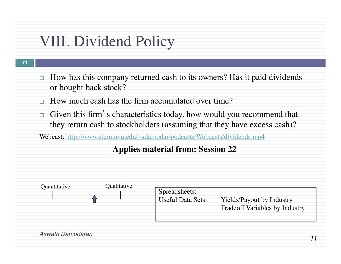### VIII. Dividend Policy

- *11*
- $\Box$  How has this company returned cash to its owners? Has it paid dividends or bought back stock?
- $\Box$  How much cash has the firm accumulated over time?
- $\Box$  Given this firm's characteristics today, how would you recommend that they return cash to stockholders (assuming that they have excess cash)?

Webcast: http://www.stern.nyu.edu/~adamodar/podcasts/Webcasts/dividends.mp4

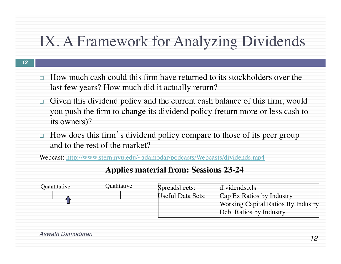### IX. A Framework for Analyzing Dividends

#### *12*

- $\Box$  How much cash could this firm have returned to its stockholders over the last few years? How much did it actually return?
- $\Box$  Given this dividend policy and the current cash balance of this firm, would you push the firm to change its dividend policy (return more or less cash to its owners)?
- $\Box$  How does this firm's dividend policy compare to those of its peer group and to the rest of the market?

Webcast: http://www.stern.nyu.edu/~adamodar/podcasts/Webcasts/dividends.mp4

| Quantitative | Qualitative | Spreadsheets:<br><b>Useful Data Sets:</b> | dividends.xls<br>Cap Ex Ratios by Industry<br>Working Capital Ratios By Industry |
|--------------|-------------|-------------------------------------------|----------------------------------------------------------------------------------|
|              |             |                                           | Debt Ratios by Industry                                                          |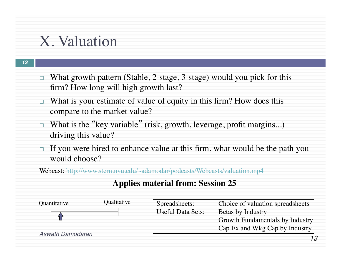### X. Valuation

- *13*
- $\Box$  What growth pattern (Stable, 2-stage, 3-stage) would you pick for this firm? How long will high growth last?
- $\Box$  What is your estimate of value of equity in this firm? How does this compare to the market value?
- $\Box$  What is the "key variable" (risk, growth, leverage, profit margins...) driving this value?
- $\Box$  If you were hired to enhance value at this firm, what would be the path you would choose?

Webcast: http://www.stern.nyu.edu/~adamodar/podcasts/Webcasts/valuation.mp4